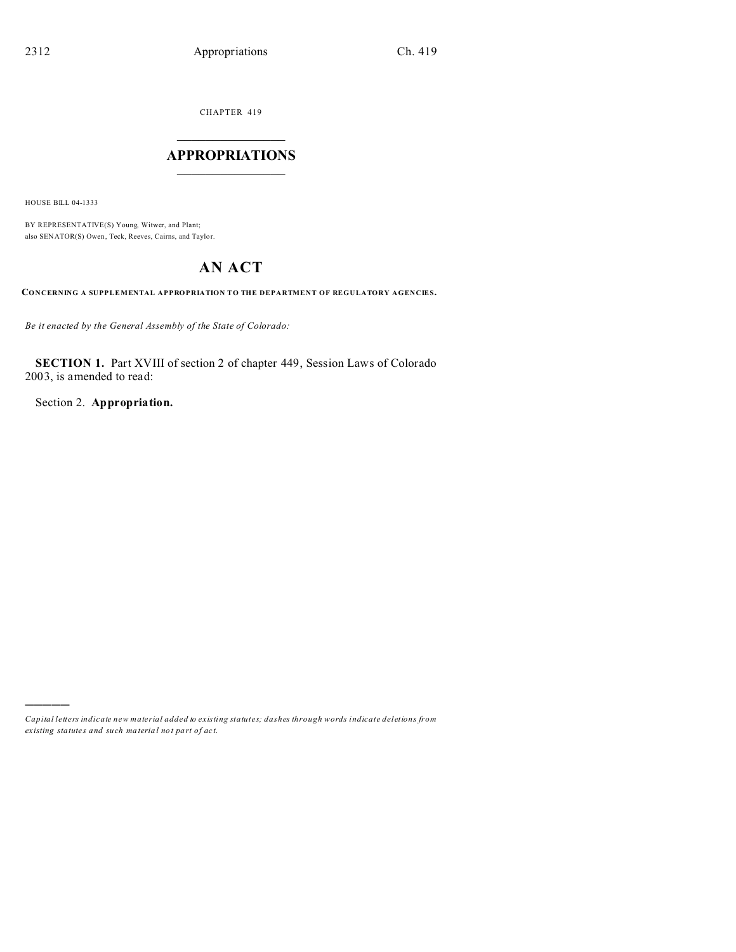CHAPTER 419

# $\overline{\phantom{a}}$  , where  $\overline{\phantom{a}}$ **APPROPRIATIONS**  $\_$   $\_$   $\_$   $\_$   $\_$   $\_$   $\_$   $\_$

HOUSE BILL 04-1333

)))))

BY REPRESENTATIVE(S) Young, Witwer, and Plant; also SENATOR(S) Owen, Teck, Reeves, Cairns, and Taylor.

# **AN ACT**

**CONCERNING A SUPPLEMENTAL APPROPRIATION TO THE DEPARTMENT OF REGULATORY AGENCIES.**

*Be it enacted by the General Assembly of the State of Colorado:*

**SECTION 1.** Part XVIII of section 2 of chapter 449, Session Laws of Colorado 2003, is amended to read:

Section 2. **Appropriation.**

*Capital letters indicate new material added to existing statutes; dashes through words indicate deletions from ex isting statute s and such ma teria l no t pa rt of ac t.*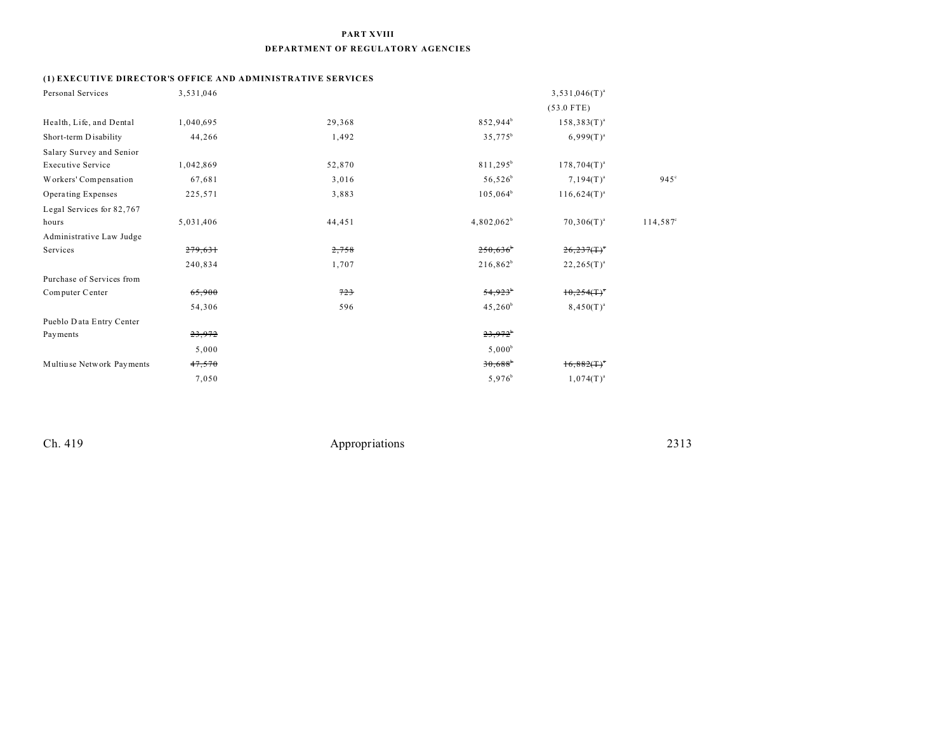#### **PART XVIII**

#### **DEPARTMENT OF REGULATORY AGENCIES**

## **(1) EXECUTIVE DIRECTOR'S OFFICE AND ADMINISTRATIVE SERVICES**

| Personal Services         | 3,531,046 |        |                       | $3,531,046(T)^{a}$        |                   |
|---------------------------|-----------|--------|-----------------------|---------------------------|-------------------|
|                           |           |        |                       | $(53.0$ FTE)              |                   |
| Health, Life, and Dental  | 1,040,695 | 29,368 | 852,944 <sup>b</sup>  | $158,383(T)^{a}$          |                   |
| Short-term Disability     | 44,266    | 1,492  | $35,775^b$            | $6,999(T)^{a}$            |                   |
| Salary Survey and Senior  |           |        |                       |                           |                   |
| <b>Executive Service</b>  | 1,042,869 | 52,870 | $811,295^b$           | $178,704(T)^{a}$          |                   |
| Workers' Compensation     | 67,681    | 3,016  | $56,526^b$            | $7,194(T)^{a}$            | $945^\circ$       |
| Operating Expenses        | 225,571   | 3,883  | $105,064^b$           | $116,624(T)^{a}$          |                   |
| Legal Services for 82,767 |           |        |                       |                           |                   |
| hours                     | 5,031,406 | 44,451 | $4,802,062^b$         | $70,306(T)^{a}$           | $114,587^{\circ}$ |
| Administrative Law Judge  |           |        |                       |                           |                   |
| Services                  | 279,631   | 2,758  | 250,636               | 26,237(                   |                   |
|                           | 240,834   | 1,707  | $216,862^b$           | $22,265(T)^{a}$           |                   |
| Purchase of Services from |           |        |                       |                           |                   |
| Computer Center           | 65,900    | 723    | 54,923                | $10,254($ T) <sup>a</sup> |                   |
|                           | 54,306    | 596    | $45,260^{\circ}$      | $8,450(T)^{a}$            |                   |
| Pueblo Data Entry Center  |           |        |                       |                           |                   |
| Payments                  | 23,972    |        | $23,972^b$            |                           |                   |
|                           | 5,000     |        | $5,000^b$             |                           |                   |
| Multiuse Network Payments | 47,570    |        | $30,688$ <sup>b</sup> | $16,882(T)^4$             |                   |
|                           | 7,050     |        | $5,976^b$             | $1,074(T)^{a}$            |                   |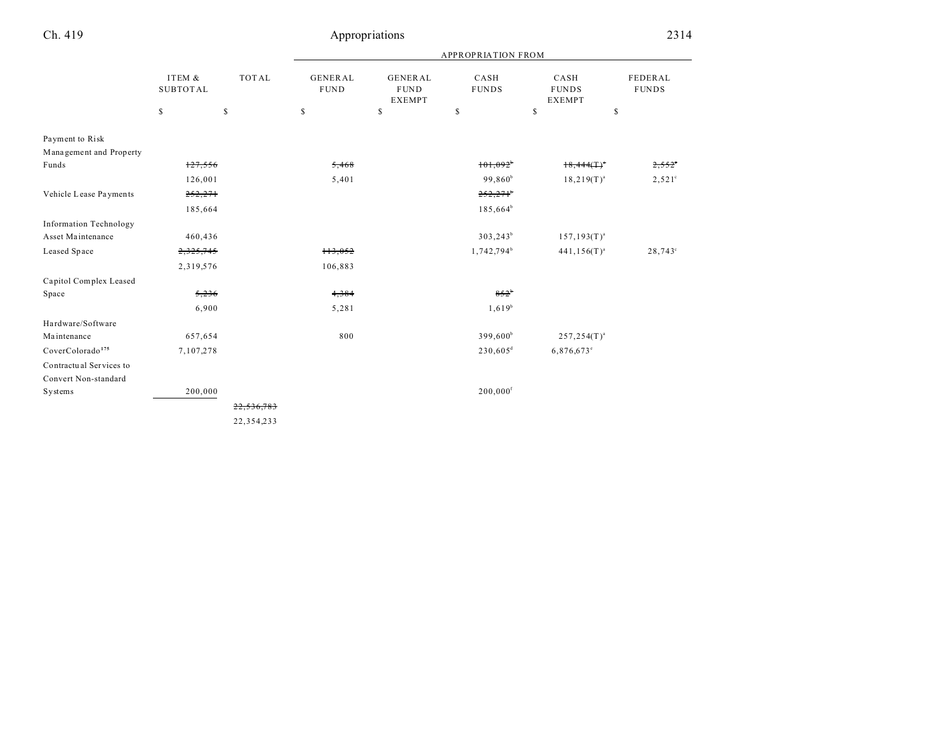|                               |                           |              |                               |                                         | <b>APPROPRIATION FROM</b> |                                       |                         |
|-------------------------------|---------------------------|--------------|-------------------------------|-----------------------------------------|---------------------------|---------------------------------------|-------------------------|
|                               | ITEM &<br><b>SUBTOTAL</b> | <b>TOTAL</b> | <b>GENERAL</b><br><b>FUND</b> | GENERAL<br><b>FUND</b><br><b>EXEMPT</b> | CASH<br><b>FUNDS</b>      | CASH<br><b>FUNDS</b><br><b>EXEMPT</b> | FEDERAL<br><b>FUNDS</b> |
|                               | $\mathbb{S}$              | \$           | \$                            | \$                                      | \$                        | \$                                    | \$                      |
| Payment to Risk               |                           |              |                               |                                         |                           |                                       |                         |
| Management and Property       |                           |              |                               |                                         |                           |                                       |                         |
| Funds                         | 127,556                   |              | 5,468                         |                                         | $101,092$ <sup>b</sup>    | 18,444(T)                             | 2,552                   |
|                               | 126,001                   |              | 5,401                         |                                         | 99,860 <sup>b</sup>       | $18,219(T)^{a}$                       | $2,521^{\circ}$         |
| Vehicle Lease Payments        | 252,271                   |              |                               |                                         | $252,271$ <sup>b</sup>    |                                       |                         |
|                               | 185,664                   |              |                               |                                         | $185,664^b$               |                                       |                         |
| <b>Information Technology</b> |                           |              |                               |                                         |                           |                                       |                         |
| Asset Maintenance             | 460,436                   |              |                               |                                         | $303,243^b$               | $157, 193(T)^{a}$                     |                         |
| Leased Space                  | 2,325,745                 |              | 113,052                       |                                         | 1,742,794 <sup>b</sup>    | $441, 156(T)^{a}$                     | $28,743^{\circ}$        |
|                               | 2,319,576                 |              | 106,883                       |                                         |                           |                                       |                         |
| Capitol Complex Leased        |                           |              |                               |                                         |                           |                                       |                         |
| Space                         | 5,236                     |              | 4,384                         |                                         | $852^{b}$                 |                                       |                         |
|                               | 6,900                     |              | 5,281                         |                                         | $1,619^{b}$               |                                       |                         |
| Hardware/Software             |                           |              |                               |                                         |                           |                                       |                         |
| Maintenance                   | 657,654                   |              | 800                           |                                         | $399,600^b$               | $257, 254(T)^{a}$                     |                         |
| CoverColorado <sup>175</sup>  | 7,107,278                 |              |                               |                                         | 230,605 <sup>d</sup>      | $6,876,673$ °                         |                         |
| Contractual Services to       |                           |              |                               |                                         |                           |                                       |                         |
| Convert Non-standard          |                           |              |                               |                                         |                           |                                       |                         |
| Systems                       | 200,000                   |              |                               |                                         | $200,000$ <sup>f</sup>    |                                       |                         |
|                               |                           | 22,536,783   |                               |                                         |                           |                                       |                         |
|                               |                           | 22, 354, 233 |                               |                                         |                           |                                       |                         |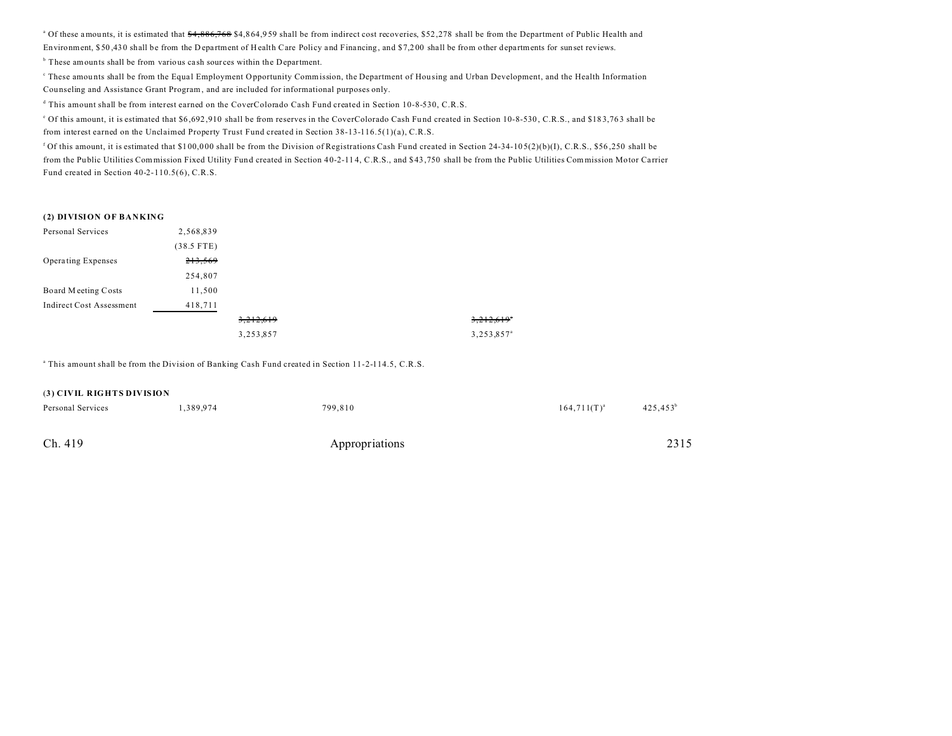a Of these amou nts, it is estimated that \$4,886,768 \$4,8 64,9 59 shall be from indirect cost recoveries, \$52 ,278 shall be from the Department of Public Health and Environment, \$50,430 shall be from the Department of Health Care Policy and Financing, and \$7,200 shall be from other departments for sunset reviews.

<sup>b</sup> These amounts shall be from various cash sources within the Department.

These amounts shall be from the Equal Employment Opportunity Commission, the Department of Housing and Urban Development, and the Health Information Cou nseling and Assistance Grant Program, and are included for informational purposes only.

d This amount shall be from interest earned on the CoverColorado Cash Fund created in Section 10-8-530, C.R.S.

<sup>e</sup> Of this amount, it is estimated that \$6,692,910 shall be from reserves in the CoverColorado Cash Fund created in Section 10-8-530, C.R.S., and \$183,763 shall be from interest earned on the Unclaimed Property Trust Fund created in Section 38-13-116.5(1)(a), C.R.S.

<sup>f</sup> Of this amount, it is estimated that \$100,000 shall be from the Division of Registrations Cash Fund created in Section 24-34-105(2)(b)(I), C.R.S., \$56,250 shall be from the Public Utilities Commission Fixed Utility Fund created in Section 40-2-114, C.R.S., and \$43,750 shall be from the Public Utilities Commission Motor Carrier Fund created in Section 40-2-110.5(6), C.R.S.

#### **(2) DIVISION OF BANKING**

| Personal Services               | 2,568,839    |           |                        |
|---------------------------------|--------------|-----------|------------------------|
|                                 | $(38.5$ FTE) |           |                        |
| Operating Expenses              | 213,569      |           |                        |
|                                 | 254,807      |           |                        |
| Board Meeting Costs             | 11,500       |           |                        |
| <b>Indirect Cost Assessment</b> | 418,711      |           |                        |
|                                 |              | 3,212,619 | 3,212,619              |
|                                 |              | 3,253,857 | 3,253,857 <sup>a</sup> |

a This amount shall be from the Division of Banking Cash Fund created in Section 11-2-114.5, C.R.S.

# Ch. 419 Appropriations 2315 (**3) CIVIL RIGHTS DIVISION** Personal Services  $1,389,974$   $799,810$   $164,711(T)^{a}$  $425,453^b$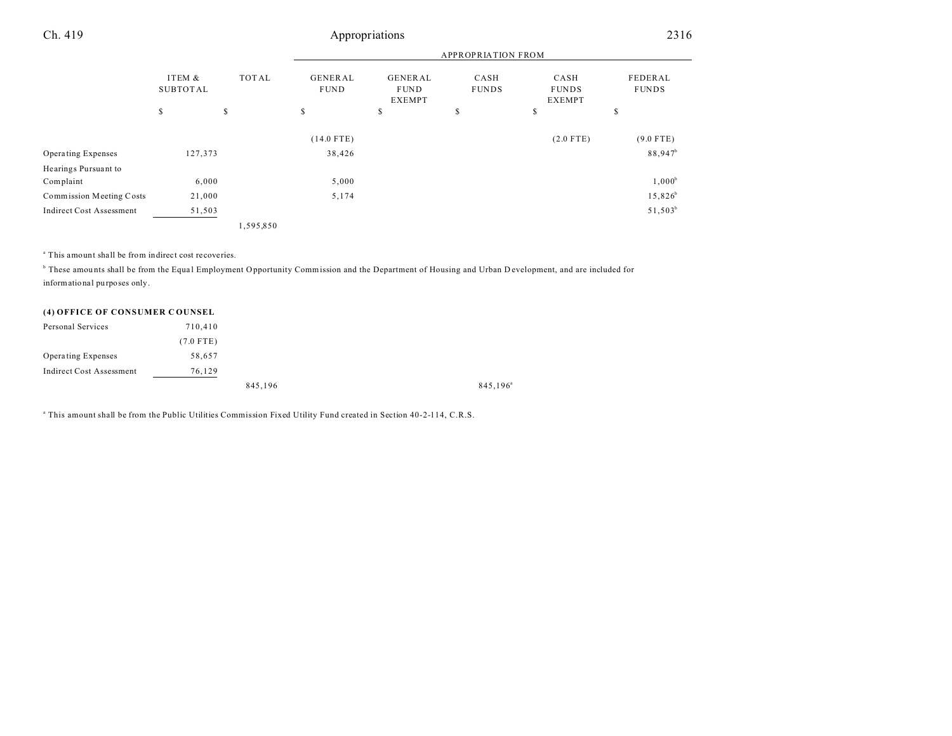## Ch. 419 Appropriations 2316

|                                 |                    |                                               |              |                                                                 | <b>APPROPRIATION FROM</b> |                                       |                         |
|---------------------------------|--------------------|-----------------------------------------------|--------------|-----------------------------------------------------------------|---------------------------|---------------------------------------|-------------------------|
|                                 | ITEM &<br>SUBTOTAL | <b>TOTAL</b><br><b>GENERAL</b><br><b>FUND</b> |              | GENERAL<br>CASH<br><b>FUNDS</b><br><b>FUND</b><br><b>EXEMPT</b> |                           | CASH<br><b>FUNDS</b><br><b>EXEMPT</b> | FEDERAL<br><b>FUNDS</b> |
|                                 | S                  | \$                                            | S            | \$                                                              | \$                        | \$                                    | \$                      |
|                                 |                    |                                               | $(14.0$ FTE) |                                                                 |                           | $(2.0$ FTE)                           | $(9.0$ FTE)             |
| <b>Operating Expenses</b>       | 127,373            |                                               | 38,426       |                                                                 |                           |                                       | 88,947 <sup>b</sup>     |
| Hearings Pursuant to            |                    |                                               |              |                                                                 |                           |                                       |                         |
| Complaint                       | 6,000              |                                               | 5,000        |                                                                 |                           |                                       | $1,000^b$               |
| Commission Meeting Costs        | 21,000             |                                               | 5,174        |                                                                 |                           |                                       | $15,826^b$              |
| <b>Indirect Cost Assessment</b> | 51,503             |                                               |              |                                                                 |                           |                                       | $51,503^b$              |
|                                 |                    | 1,595,850                                     |              |                                                                 |                           |                                       |                         |

a This amount shall be from indirect cost recoveries.

 $^{\circ}$  These amounts shall be from the Equal Employment Opportunity Commission and the Department of Housing and Urban D evelopment, and are included for informational purposes only.

#### **(4) OFFICE OF CONSUMER C OUNSEL**

| Personal Services        | 710,410     |         |                      |
|--------------------------|-------------|---------|----------------------|
|                          | $(7.0$ FTE) |         |                      |
| Operating Expenses       | 58,657      |         |                      |
| Indirect Cost Assessment | 76.129      |         |                      |
|                          |             | 845,196 | 845,196 <sup>a</sup> |

a This amount shall be from the Public Utilities Commission Fixed Utility Fund created in Section 40-2-114, C.R.S.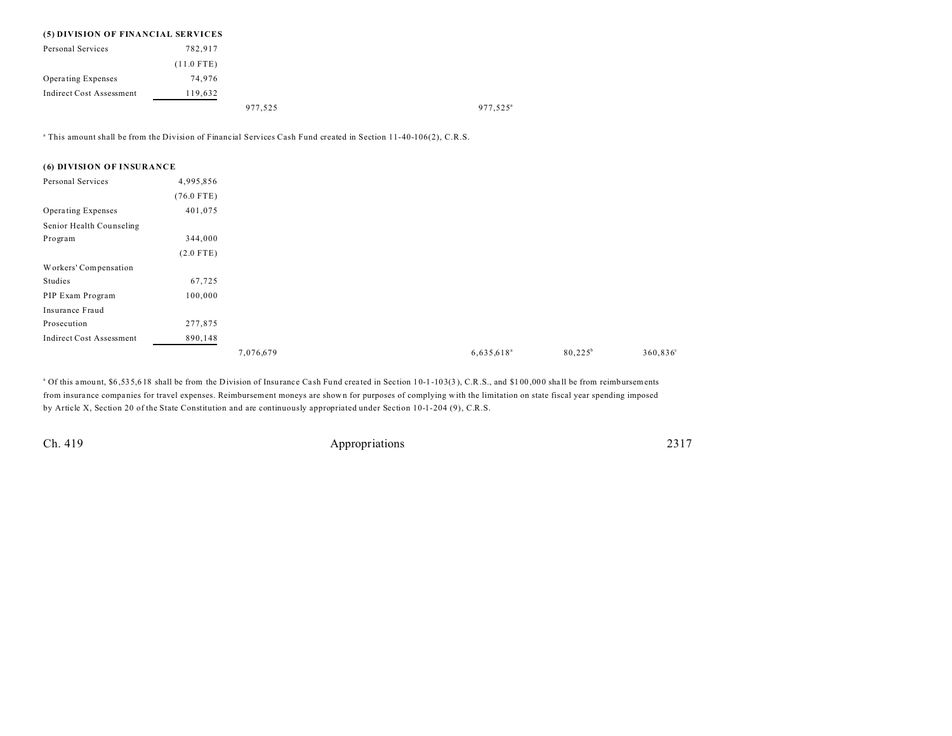## **(5) DIVISION OF FINANCIAL SERVICES** Personal Services 782,917 (11.0 FTE) Opera ting Expenses 74,976 Indirect Cost Assessment 119,632 977,525<sup>a</sup> 977,525<sup>a</sup>

a This amount shall be from the Division of Financial Services Cash Fund created in Section 11-40-106(2), C.R.S.

#### **(6) DIVISION OF INSURANCE**

| Personal Services               | 4,995,856    |           |                     |                  |
|---------------------------------|--------------|-----------|---------------------|------------------|
|                                 | $(76.0$ FTE) |           |                     |                  |
| Operating Expenses              | 401,075      |           |                     |                  |
| Senior Health Counseling        |              |           |                     |                  |
| Program                         | 344,000      |           |                     |                  |
|                                 | $(2.0$ FTE)  |           |                     |                  |
| Workers' Compensation           |              |           |                     |                  |
| Studies                         | 67,725       |           |                     |                  |
| PIP Exam Program                | 100,000      |           |                     |                  |
| Insurance Fraud                 |              |           |                     |                  |
| Prosecution                     | 277,875      |           |                     |                  |
| <b>Indirect Cost Assessment</b> | 890,148      |           |                     |                  |
|                                 |              | 7,076,679 | $6,635,618^{\circ}$ | $80,225^{\circ}$ |

<sup>a</sup> Of this amount, \$6,535,618 shall be from the Division of Insurance Cash Fund created in Section 10-1-103(3), C.R.S., and \$100,000 shall be from reimbursements from insurance compa nies for travel expenses. Reimbursement moneys are shown for purposes of complying with the limitation on state fiscal year spending imposed by Article X, Section 20 of the State Constitution and are continuously appropriated under Section 10-1-204 (9), C.R.S.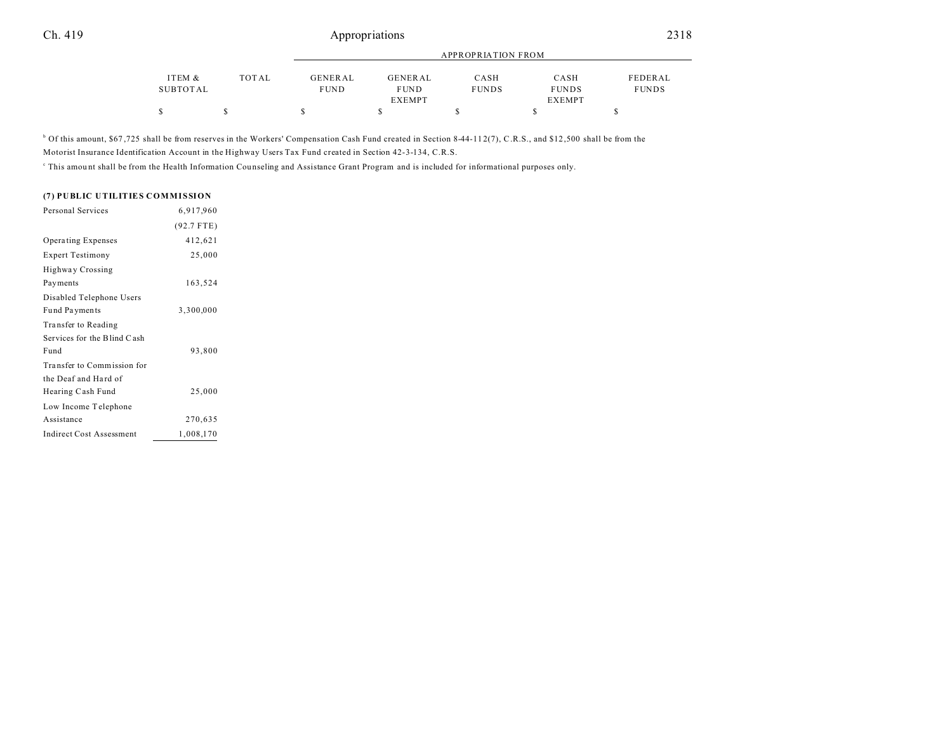## Ch. 419 Appropriations 2318

|          |       |                | APPROPRIATION FROM |              |               |              |  |  |  |  |
|----------|-------|----------------|--------------------|--------------|---------------|--------------|--|--|--|--|
| ITEM &   | TOTAL | <b>GENERAL</b> | GENERAL            | CASH         | CASH          | FEDERAL      |  |  |  |  |
| SUBTOTAL |       | <b>FUND</b>    | <b>FUND</b>        | <b>FUNDS</b> | <b>FUNDS</b>  | <b>FUNDS</b> |  |  |  |  |
|          |       |                | <b>EXEMPT</b>      |              | <b>EXEMPT</b> |              |  |  |  |  |
|          |       |                |                    |              |               |              |  |  |  |  |

<sup>b</sup> Of this amount, \$67,725 shall be from reserves in the Workers' Compensation Cash Fund created in Section 8-44-11 2(7), C.R.S., and \$12,500 shall be from the

Motorist Insurance Identification Account in the Highway Users Tax Fund created in Section 42-3-134, C.R.S.

This amount shall be from the Health Information Counseling and Assistance Grant Program and is included for informational purposes only.

#### **(7) PUBLIC UTILITIES COMMISSION**

| Personal Services               | 6,917,960    |
|---------------------------------|--------------|
|                                 | $(92.7$ FTE) |
| <b>Operating Expenses</b>       | 412,621      |
| <b>Expert Testimony</b>         | 25,000       |
| <b>Highway Crossing</b>         |              |
| Payments                        | 163,524      |
| Disabled Telephone Users        |              |
| Fund Payments                   | 3,300,000    |
| Transfer to Reading             |              |
| Services for the Blind Cash     |              |
| Fund                            | 93,800       |
| Transfer to Commission for      |              |
| the Deaf and Hard of            |              |
| Hearing Cash Fund               | 25,000       |
| Low Income Telephone            |              |
| Assistance                      | 270,635      |
| <b>Indirect Cost Assessment</b> | 1,008,170    |
|                                 |              |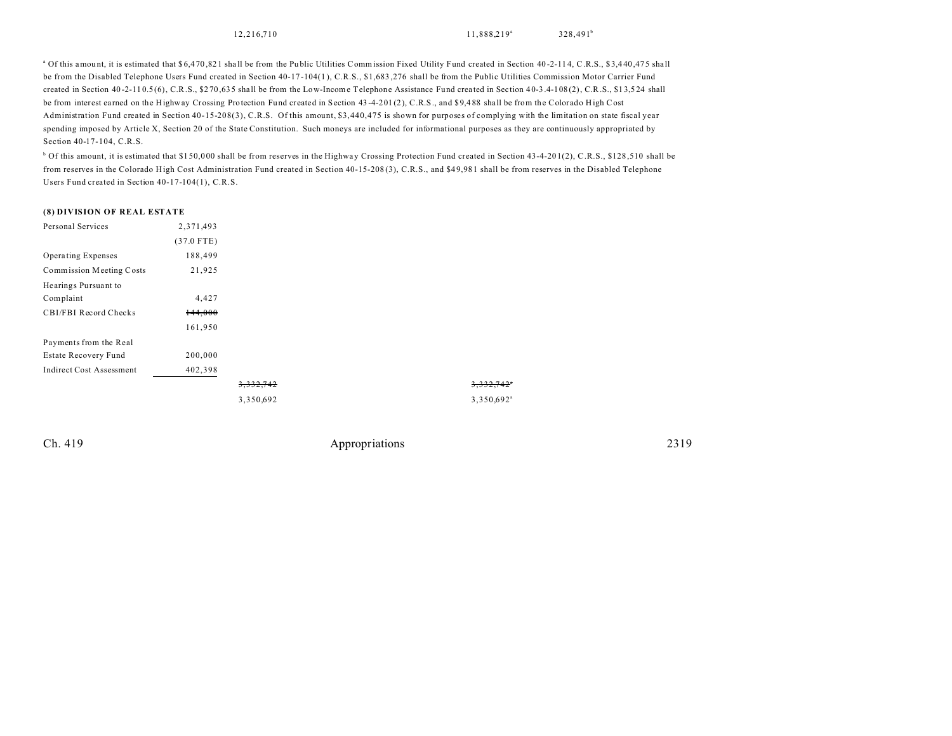12,216,710 11,888,219<sup>a</sup>

3,332,742<sup>a</sup>  $3,350,692$ <sup>a</sup>

<sup>a</sup> Of this amount, it is estimated that \$6,470,821 shall be from the Public Utilities Commission Fixed Utility Fund created in Section 40-2-114, C.R.S., \$3,440,475 shall be from the Disabled Telephone Users Fund created in Section 40-17-104(1), C.R.S., \$1,683,276 shall be from the Public Utilities Commission Motor Carrier Fund created in Section 40-2-110.5(6), C.R.S., \$270,635 shall be from the Low-Income Telephone Assistance Fund created in Section 40-3.4-108(2), C.R.S., \$13,524 shall be from interest earned on the Highway Crossing Protection Fund created in Section 43-4-201(2), C.R.S., and \$9,488 shall be from the Colorado High Cost Administration Fund created in Section 40-15-208(3), C.R.S. Of this amount, \$3,440,475 is shown for purposes of complying with the limitation on state fiscal year spending imposed by Article X, Section 20 of the State Constitution. Such moneys are included for informational purposes as they are continuously appropriated by Section 40-17-104, C.R.S.

<sup>b</sup> Of this amount, it is estimated that \$150,000 shall be from reserves in the Highway Crossing Protection Fund created in Section 43-4-201(2), C.R.S., \$128,510 shall be from reserves in the Colorado High Cost Administration Fund created in Section 40-15-208 (3), C.R.S., and \$4 9,98 1 shall be from reserves in the Disabled Telephone Users Fund created in Section 40-17-104(1), C.R.S.

#### **(8) DIVISION OF REAL ESTATE**

| Personal Services               | 2,371,493    |                      |  |  |  |
|---------------------------------|--------------|----------------------|--|--|--|
|                                 | $(37.0$ FTE) |                      |  |  |  |
| Operating Expenses              | 188,499      |                      |  |  |  |
| Commission Meeting Costs        | 21,925       |                      |  |  |  |
| Hearings Pursuant to            |              |                      |  |  |  |
| Complaint                       | 4,427        |                      |  |  |  |
| CBI/FBI Record Checks           | 144,000      |                      |  |  |  |
|                                 | 161,950      |                      |  |  |  |
| Payments from the Real          |              |                      |  |  |  |
| Estate Recovery Fund            | 200,000      |                      |  |  |  |
| <b>Indirect Cost Assessment</b> | 402,398      |                      |  |  |  |
|                                 |              | <del>3.332.742</del> |  |  |  |
|                                 |              | 3,350,692            |  |  |  |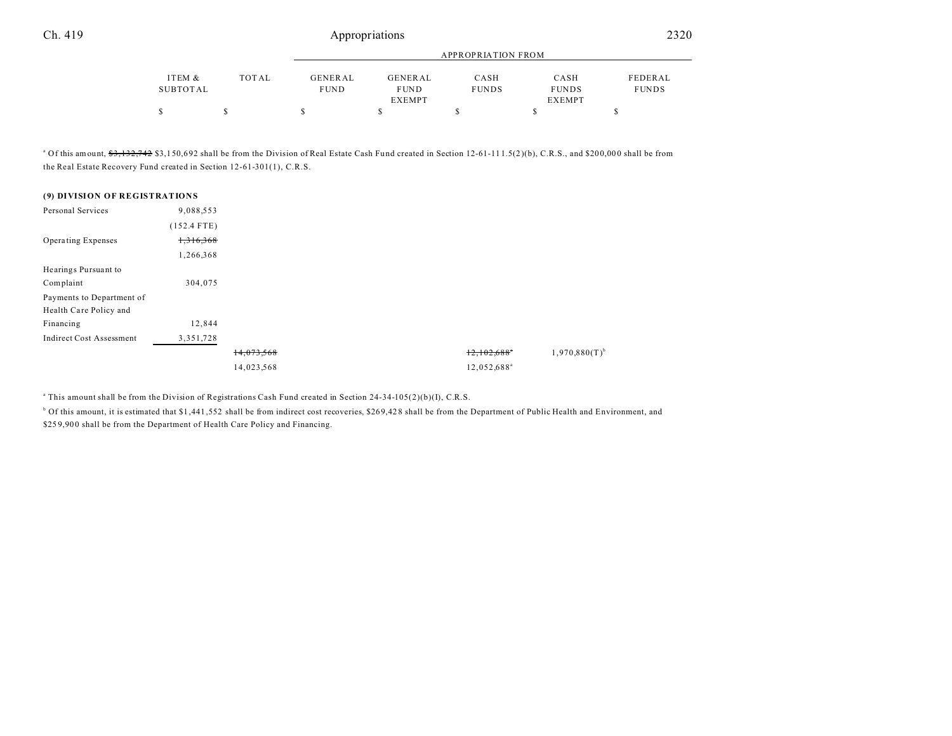|          |       | APPROPRIATION FROM |               |              |               |              |  |
|----------|-------|--------------------|---------------|--------------|---------------|--------------|--|
| ITEM &   | TOTAL | <b>GENERAL</b>     | GENERAL       | CASH         | CASH          | FEDERAL      |  |
| SUBTOTAL |       | <b>FUND</b>        | <b>FUND</b>   | <b>FUNDS</b> | <b>FUNDS</b>  | <b>FUNDS</b> |  |
|          |       |                    | <b>EXEMPT</b> |              | <b>EXEMPT</b> |              |  |
|          |       |                    |               |              |               |              |  |

<sup>a</sup> Of this amount, <del>\$3,132,742</del> \$3,150,692 shall be from the Division of Real Estate Cash Fund created in Section 12-61-111.5(2)(b), C.R.S., and \$200,000 shall be from the Real Estate Recovery Fund created in Section 12-61-301(1), C.R.S.

| (9) DIVISION OF REGISTRATIONS   |               |            |                         |  |
|---------------------------------|---------------|------------|-------------------------|--|
| Personal Services               | 9,088,553     |            |                         |  |
|                                 | $(152.4$ FTE) |            |                         |  |
| <b>Operating Expenses</b>       | 1,316,368     |            |                         |  |
|                                 | 1,266,368     |            |                         |  |
| Hearings Pursuant to            |               |            |                         |  |
| Complaint                       | 304,075       |            |                         |  |
| Payments to Department of       |               |            |                         |  |
| Health Care Policy and          |               |            |                         |  |
| Financing                       | 12,844        |            |                         |  |
| <b>Indirect Cost Assessment</b> | 3, 351, 728   |            |                         |  |
|                                 |               | 14,073,568 | 12,102,688"             |  |
|                                 |               | 14,023,568 | 12,052,688 <sup>ª</sup> |  |

a This amount shall be from the Division of Registrations Cash Fund created in Section 24-34-105(2)(b)(I), C.R.S.

 $^{\circ}$  Of this amount, it is estimated that \$1,441,552 shall be from indirect cost recoveries, \$269,428 shall be from the Department of Public Health and Environment, and \$259,900 shall be from the Department of Health Care Policy and Financing.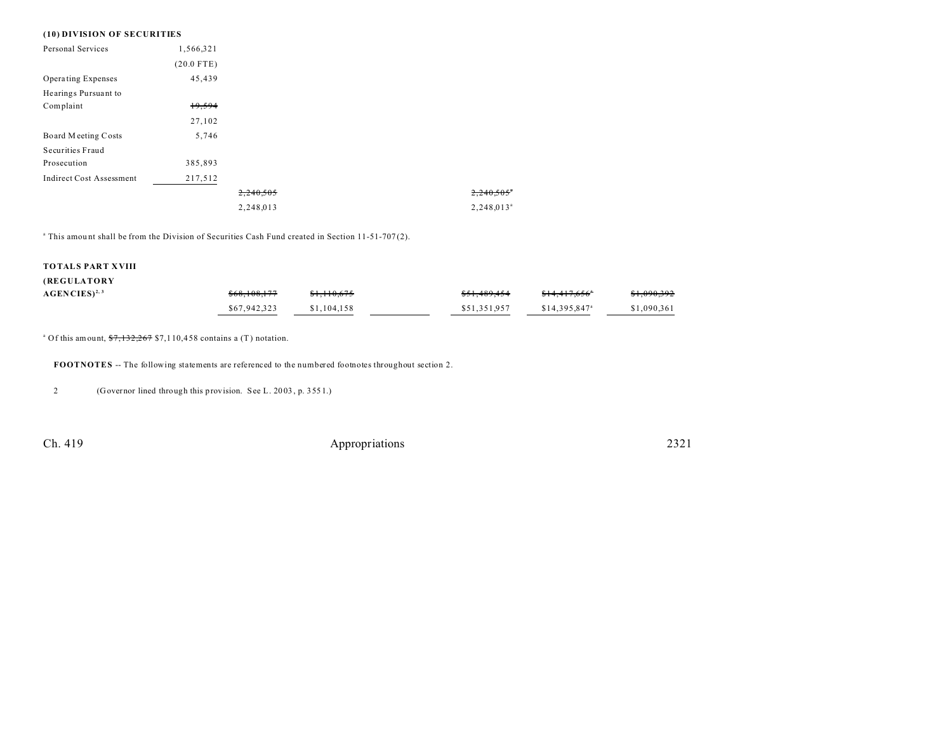#### **(10) DIVISION OF SECURITIES**

| Personal Services               | 1,566,321    |           |                          |
|---------------------------------|--------------|-----------|--------------------------|
|                                 | $(20.0$ FTE) |           |                          |
| Operating Expenses              | 45,439       |           |                          |
| Hearings Pursuant to            |              |           |                          |
| Complaint                       | 19,594       |           |                          |
|                                 | 27,102       |           |                          |
| Board Meeting Costs             | 5,746        |           |                          |
| Securities Fraud                |              |           |                          |
| Prosecution                     | 385,893      |           |                          |
| <b>Indirect Cost Assessment</b> | 217,512      |           |                          |
|                                 |              | 2,240,505 | $2.240.505$ <sup>*</sup> |
|                                 |              | 2,248,013 | $2,248,013^a$            |

<sup>a</sup> This amount shall be from the Division of Securities Cash Fund created in Section 11-51-707(2).

### **TOTALS PART XVIII**

#### **(REGULATORY**

| $\text{AGENCIES}\$ <sup>2, 3</sup> | \$68,108,177 | <del>\$1,110,675</del> | \$51,489,454 | <del>\$14.417.656</del> ° | <del>\$1,090,392</del> |
|------------------------------------|--------------|------------------------|--------------|---------------------------|------------------------|
|                                    | \$67,942,323 | \$1,104,158            | \$51.351.957 | \$14,395,847 <sup>a</sup> | \$1,090,361            |

<sup>a</sup> Of this amount,  $7,132,267$  \$7,110,458 contains a (T) notation.

**FOOTNOTES** -- The following statements are referenced to the numbered footnotes throughout section 2.

2 (Governor lined through this provision. See L. 20 03 , p. 355 1.)